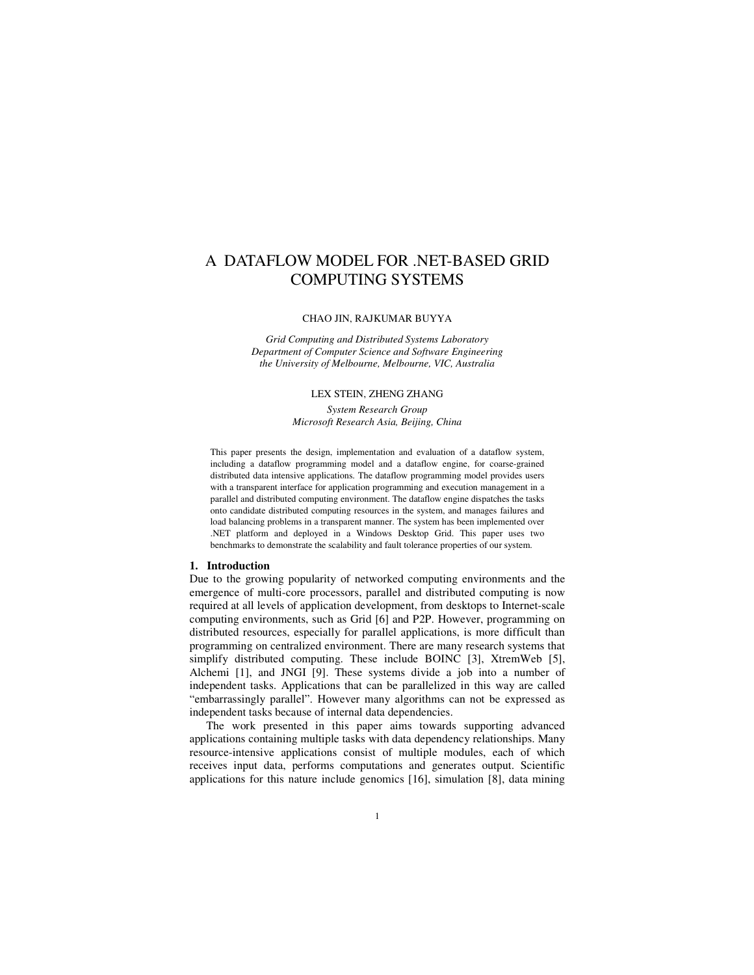# A DATAFLOW MODEL FOR .NET-BASED GRID COMPUTING SYSTEMS

#### CHAO JIN, RAJKUMAR BUYYA

*Grid Computing and Distributed Systems Laboratory Department of Computer Science and Software Engineering the University of Melbourne, Melbourne, VIC, Australia*

### LEX STEIN, ZHENG ZHANG

*System Research Group Microsoft Research Asia, Beijing, China* 

This paper presents the design, implementation and evaluation of a dataflow system, including a dataflow programming model and a dataflow engine, for coarse-grained distributed data intensive applications. The dataflow programming model provides users with a transparent interface for application programming and execution management in a parallel and distributed computing environment. The dataflow engine dispatches the tasks onto candidate distributed computing resources in the system, and manages failures and load balancing problems in a transparent manner. The system has been implemented over .NET platform and deployed in a Windows Desktop Grid. This paper uses two benchmarks to demonstrate the scalability and fault tolerance properties of our system.

#### **1. Introduction**

Due to the growing popularity of networked computing environments and the emergence of multi-core processors, parallel and distributed computing is now required at all levels of application development, from desktops to Internet-scale computing environments, such as Grid [6] and P2P. However, programming on distributed resources, especially for parallel applications, is more difficult than programming on centralized environment. There are many research systems that simplify distributed computing. These include BOINC [3], XtremWeb [5], Alchemi [1], and JNGI [9]. These systems divide a job into a number of independent tasks. Applications that can be parallelized in this way are called "embarrassingly parallel". However many algorithms can not be expressed as independent tasks because of internal data dependencies.

The work presented in this paper aims towards supporting advanced applications containing multiple tasks with data dependency relationships. Many resource-intensive applications consist of multiple modules, each of which receives input data, performs computations and generates output. Scientific applications for this nature include genomics [16], simulation [8], data mining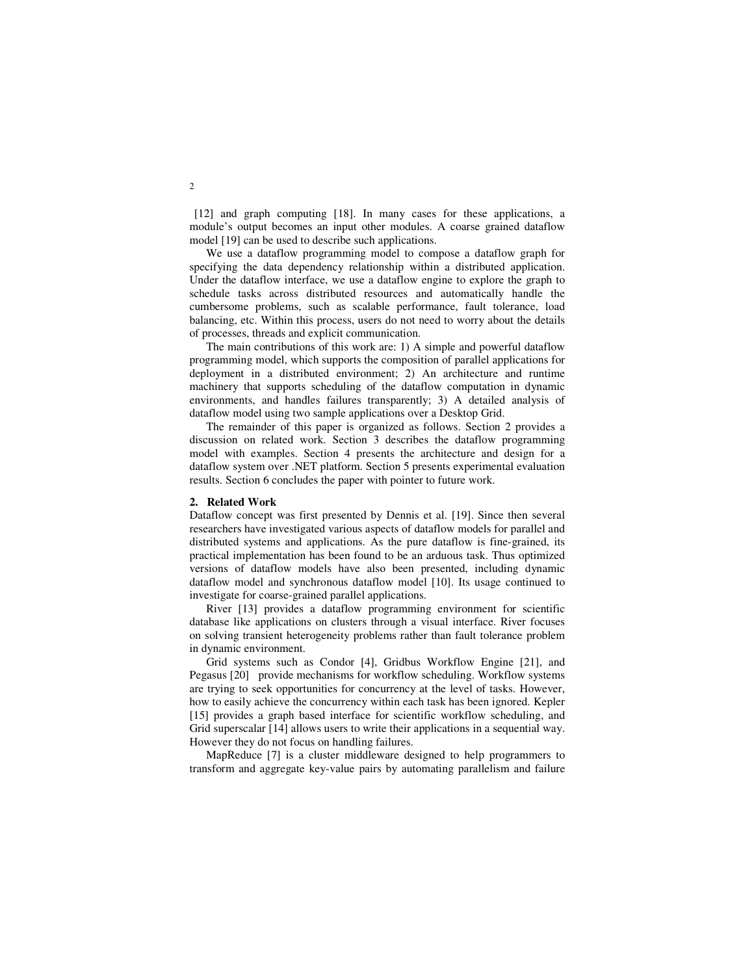[12] and graph computing [18]. In many cases for these applications, a module's output becomes an input other modules. A coarse grained dataflow model [19] can be used to describe such applications.

We use a dataflow programming model to compose a dataflow graph for specifying the data dependency relationship within a distributed application. Under the dataflow interface, we use a dataflow engine to explore the graph to schedule tasks across distributed resources and automatically handle the cumbersome problems, such as scalable performance, fault tolerance, load balancing, etc. Within this process, users do not need to worry about the details of processes, threads and explicit communication.

The main contributions of this work are: 1) A simple and powerful dataflow programming model, which supports the composition of parallel applications for deployment in a distributed environment; 2) An architecture and runtime machinery that supports scheduling of the dataflow computation in dynamic environments, and handles failures transparently; 3) A detailed analysis of dataflow model using two sample applications over a Desktop Grid.

The remainder of this paper is organized as follows. Section 2 provides a discussion on related work. Section 3 describes the dataflow programming model with examples. Section 4 presents the architecture and design for a dataflow system over .NET platform. Section 5 presents experimental evaluation results. Section 6 concludes the paper with pointer to future work.

## **2. Related Work**

Dataflow concept was first presented by Dennis et al. [19]. Since then several researchers have investigated various aspects of dataflow models for parallel and distributed systems and applications. As the pure dataflow is fine-grained, its practical implementation has been found to be an arduous task. Thus optimized versions of dataflow models have also been presented, including dynamic dataflow model and synchronous dataflow model [10]. Its usage continued to investigate for coarse-grained parallel applications.

River [13] provides a dataflow programming environment for scientific database like applications on clusters through a visual interface. River focuses on solving transient heterogeneity problems rather than fault tolerance problem in dynamic environment.

Grid systems such as Condor [4], Gridbus Workflow Engine [21], and Pegasus [20] provide mechanisms for workflow scheduling. Workflow systems are trying to seek opportunities for concurrency at the level of tasks. However, how to easily achieve the concurrency within each task has been ignored. Kepler [15] provides a graph based interface for scientific workflow scheduling, and Grid superscalar [14] allows users to write their applications in a sequential way. However they do not focus on handling failures.

MapReduce [7] is a cluster middleware designed to help programmers to transform and aggregate key-value pairs by automating parallelism and failure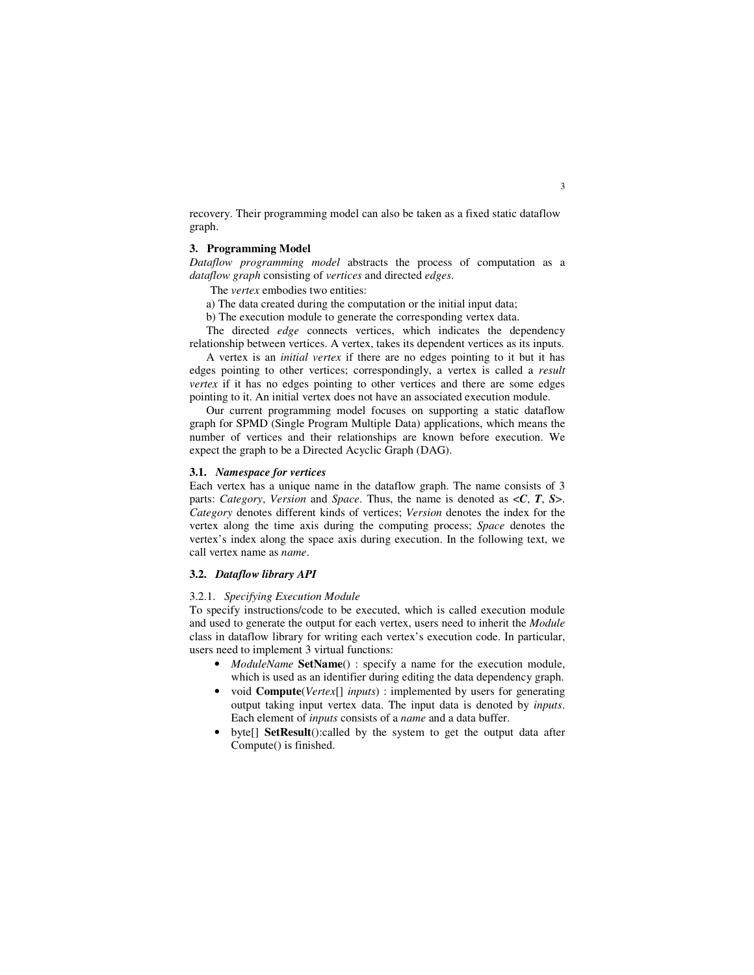recovery. Their programming model can also be taken as a fixed static dataflow graph.

# **3. Programming Model**

*Dataflow programming model* abstracts the process of computation as a *dataflow graph* consisting of *vertices* and directed *edges*.

The *vertex* embodies two entities:

a) The data created during the computation or the initial input data;

b) The execution module to generate the corresponding vertex data.

The directed *edge* connects vertices, which indicates the dependency relationship between vertices. A vertex, takes its dependent vertices as its inputs.

A vertex is an *initial vertex* if there are no edges pointing to it but it has edges pointing to other vertices; correspondingly, a vertex is called a *result vertex* if it has no edges pointing to other vertices and there are some edges pointing to it. An initial vertex does not have an associated execution module.

Our current programming model focuses on supporting a static dataflow graph for SPMD (Single Program Multiple Data) applications, which means the number of vertices and their relationships are known before execution. We expect the graph to be a Directed Acyclic Graph (DAG).

## **3.1.** *Namespace for vertices*

Each vertex has a unique name in the dataflow graph. The name consists of 3 parts: *Category*, *Version* and *Space*. Thus, the name is denoted as <*C*, *T*, *S*>. *Category* denotes different kinds of vertices; *Version* denotes the index for the vertex along the time axis during the computing process; *Space* denotes the vertex's index along the space axis during execution. In the following text, we call vertex name as *name*.

# **3.2.** *Dataflow library API*

## 3.2.1. *Specifying Execution Module*

To specify instructions/code to be executed, which is called execution module and used to generate the output for each vertex, users need to inherit the *Module* class in dataflow library for writing each vertex's execution code. In particular, users need to implement 3 virtual functions:

- *ModuleName* **SetName**() : specify a name for the execution module, which is used as an identifier during editing the data dependency graph.
- void **Compute**(*Vertex*[] *inputs*) : implemented by users for generating output taking input vertex data. The input data is denoted by *inputs*. Each element of *inputs* consists of a *name* and a data buffer.
- byte[] **SetResult**():called by the system to get the output data after Compute() is finished.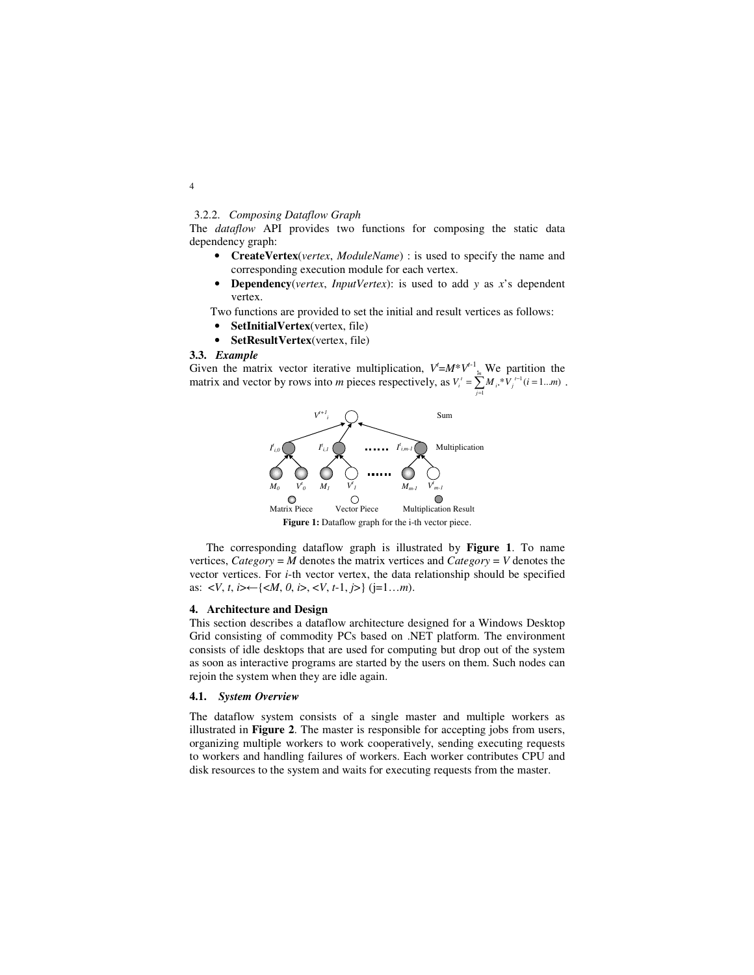#### 3.2.2. *Composing Dataflow Graph*

The *dataflow* API provides two functions for composing the static data dependency graph:

- **CreateVertex**(*vertex*, *ModuleName*) : is used to specify the name and corresponding execution module for each vertex.
- **Dependency**(*vertex*, *InputVertex*): is used to add *y* as *x*'s dependent vertex.

Two functions are provided to set the initial and result vertices as follows:

- **SetInitialVertex**(vertex, file)
- **SetResultVertex**(vertex, file)

## **3.3.** *Example*

Given the matrix vector iterative multiplication,  $V = M^* V^{t-1}$ . We partition the matrix and vector by rows into *m* pieces respectively, as  $V_i' = \sum_{i=1}^m M_i \cdot k' V_j^{-1} (i = 1...m)$ . *j*  $V_i^t = \sum_{j=1}^t M_i.*V_j^{t-1}$   $(i = 1...m)$ \* $V_i^{1-1}$  ( $i = 1...m$ )



The corresponding dataflow graph is illustrated by **Figure 1**. To name vertices, *Category* = *M* denotes the matrix vertices and *Category* = *V* denotes the vector vertices. For *i*-th vector vertex, the data relationship should be specified as:  $\langle V, t, i \rangle \leftarrow \{ \langle M, 0, i \rangle, \langle V, t-1, j \rangle \}$  ( $j=1...m$ ).

# **4. Architecture and Design**

This section describes a dataflow architecture designed for a Windows Desktop Grid consisting of commodity PCs based on .NET platform. The environment consists of idle desktops that are used for computing but drop out of the system as soon as interactive programs are started by the users on them. Such nodes can rejoin the system when they are idle again.

#### **4.1.** *System Overview*

The dataflow system consists of a single master and multiple workers as illustrated in **Figure 2**. The master is responsible for accepting jobs from users, organizing multiple workers to work cooperatively, sending executing requests to workers and handling failures of workers. Each worker contributes CPU and disk resources to the system and waits for executing requests from the master.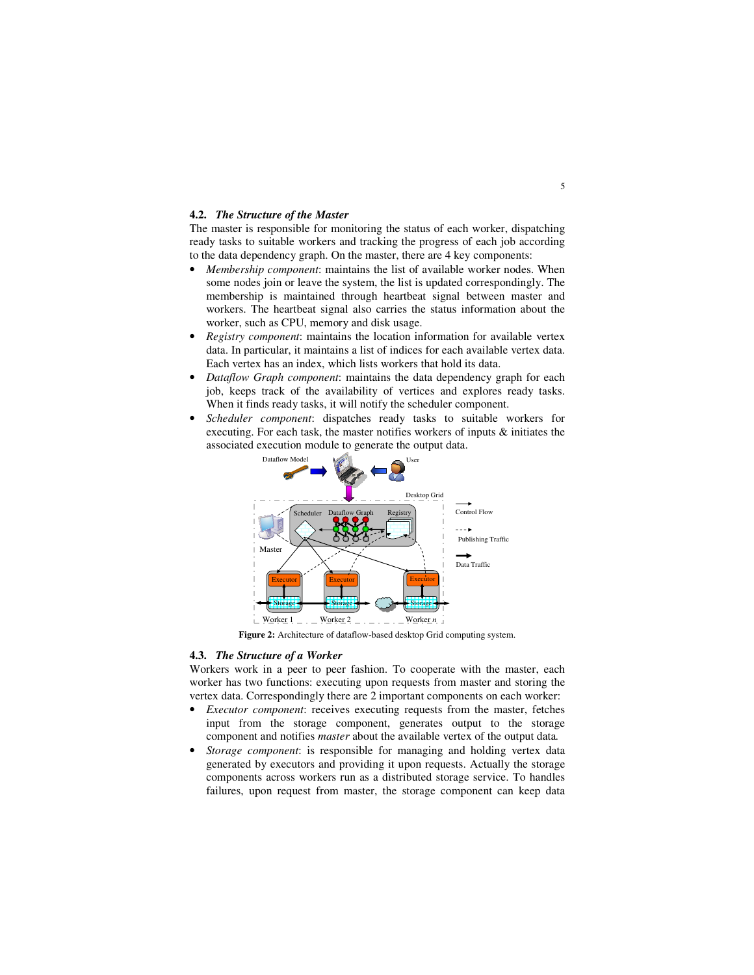#### **4.2.** *The Structure of the Master*

The master is responsible for monitoring the status of each worker, dispatching ready tasks to suitable workers and tracking the progress of each job according to the data dependency graph. On the master, there are 4 key components:

- *Membership component*: maintains the list of available worker nodes. When some nodes join or leave the system, the list is updated correspondingly. The membership is maintained through heartbeat signal between master and workers. The heartbeat signal also carries the status information about the worker, such as CPU, memory and disk usage.
- *Registry component*: maintains the location information for available vertex data. In particular, it maintains a list of indices for each available vertex data. Each vertex has an index, which lists workers that hold its data.
- *Dataflow Graph component*: maintains the data dependency graph for each job, keeps track of the availability of vertices and explores ready tasks. When it finds ready tasks, it will notify the scheduler component.
- *Scheduler component*: dispatches ready tasks to suitable workers for executing. For each task, the master notifies workers of inputs & initiates the associated execution module to generate the output data.



**Figure 2:** Architecture of dataflow-based desktop Grid computing system.

## **4.3.** *The Structure of a Worker*

Workers work in a peer to peer fashion. To cooperate with the master, each worker has two functions: executing upon requests from master and storing the vertex data. Correspondingly there are 2 important components on each worker:

- *Executor component*: receives executing requests from the master, fetches input from the storage component, generates output to the storage component and notifies *master* about the available vertex of the output data*.*
- *Storage component*: is responsible for managing and holding vertex data generated by executors and providing it upon requests. Actually the storage components across workers run as a distributed storage service. To handles failures, upon request from master, the storage component can keep data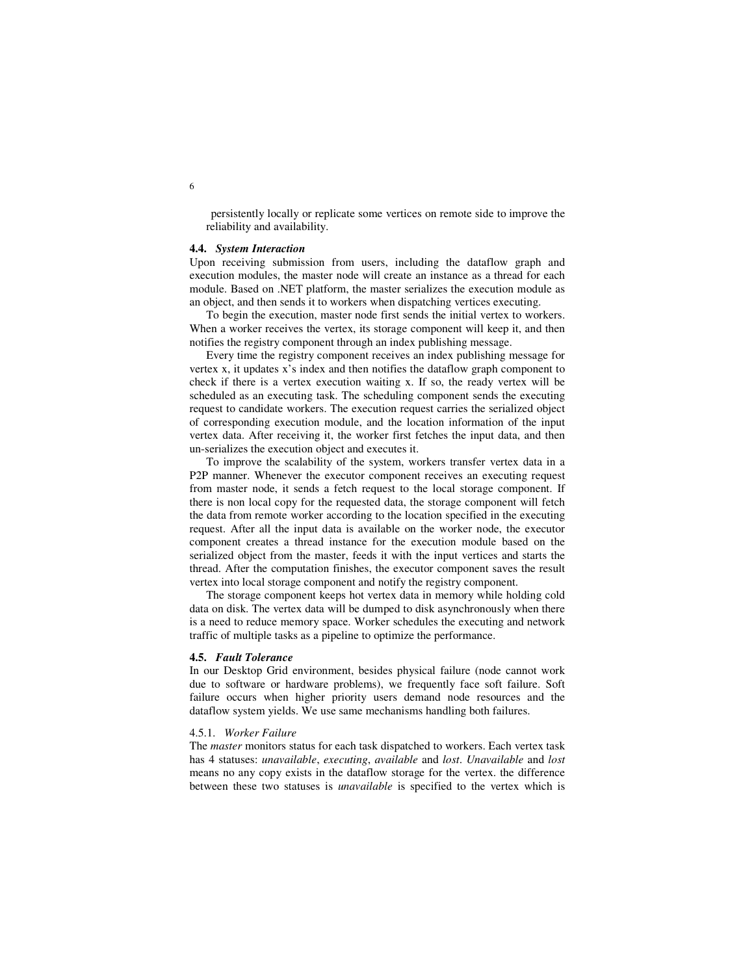persistently locally or replicate some vertices on remote side to improve the reliability and availability.

### **4.4.** *System Interaction*

Upon receiving submission from users, including the dataflow graph and execution modules, the master node will create an instance as a thread for each module. Based on .NET platform, the master serializes the execution module as an object, and then sends it to workers when dispatching vertices executing.

To begin the execution, master node first sends the initial vertex to workers. When a worker receives the vertex, its storage component will keep it, and then notifies the registry component through an index publishing message.

Every time the registry component receives an index publishing message for vertex x, it updates x's index and then notifies the dataflow graph component to check if there is a vertex execution waiting x. If so, the ready vertex will be scheduled as an executing task. The scheduling component sends the executing request to candidate workers. The execution request carries the serialized object of corresponding execution module, and the location information of the input vertex data. After receiving it, the worker first fetches the input data, and then un-serializes the execution object and executes it.

To improve the scalability of the system, workers transfer vertex data in a P2P manner. Whenever the executor component receives an executing request from master node, it sends a fetch request to the local storage component. If there is non local copy for the requested data, the storage component will fetch the data from remote worker according to the location specified in the executing request. After all the input data is available on the worker node, the executor component creates a thread instance for the execution module based on the serialized object from the master, feeds it with the input vertices and starts the thread. After the computation finishes, the executor component saves the result vertex into local storage component and notify the registry component.

The storage component keeps hot vertex data in memory while holding cold data on disk. The vertex data will be dumped to disk asynchronously when there is a need to reduce memory space. Worker schedules the executing and network traffic of multiple tasks as a pipeline to optimize the performance.

## **4.5.** *Fault Tolerance*

In our Desktop Grid environment, besides physical failure (node cannot work due to software or hardware problems), we frequently face soft failure. Soft failure occurs when higher priority users demand node resources and the dataflow system yields. We use same mechanisms handling both failures.

#### 4.5.1. *Worker Failure*

The *master* monitors status for each task dispatched to workers. Each vertex task has 4 statuses: *unavailable*, *executing*, *available* and *lost*. *Unavailable* and *lost* means no any copy exists in the dataflow storage for the vertex. the difference between these two statuses is *unavailable* is specified to the vertex which is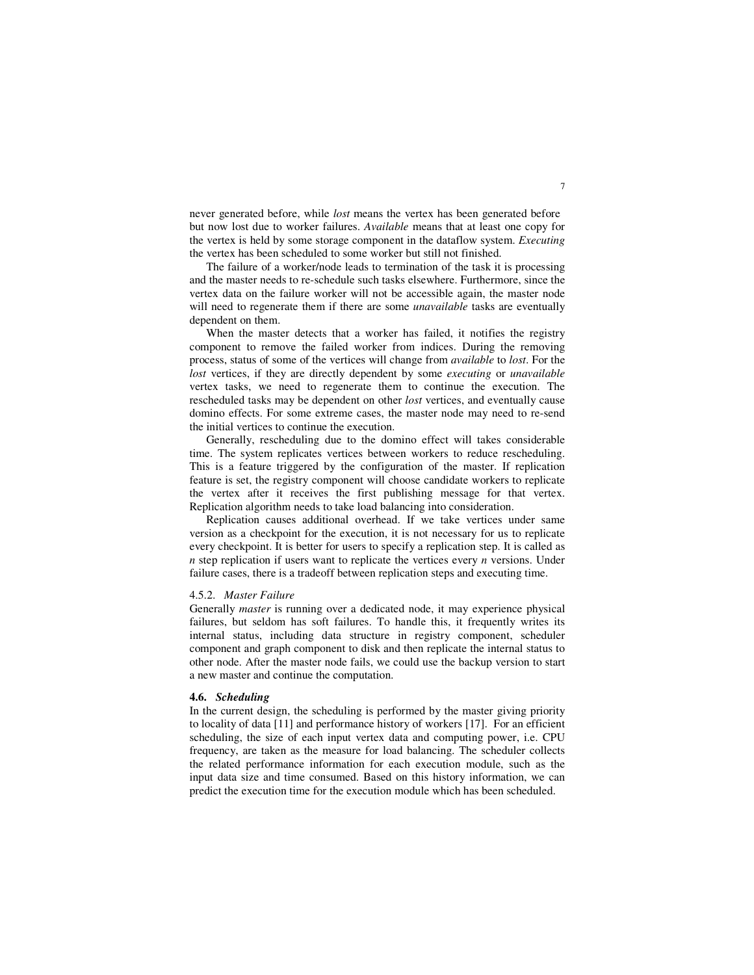never generated before, while *lost* means the vertex has been generated before but now lost due to worker failures. *Available* means that at least one copy for the vertex is held by some storage component in the dataflow system. *Executing* the vertex has been scheduled to some worker but still not finished.

The failure of a worker/node leads to termination of the task it is processing and the master needs to re-schedule such tasks elsewhere. Furthermore, since the vertex data on the failure worker will not be accessible again, the master node will need to regenerate them if there are some *unavailable* tasks are eventually dependent on them.

When the master detects that a worker has failed, it notifies the registry component to remove the failed worker from indices. During the removing process, status of some of the vertices will change from *available* to *lost*. For the *lost* vertices, if they are directly dependent by some *executing* or *unavailable* vertex tasks, we need to regenerate them to continue the execution. The rescheduled tasks may be dependent on other *lost* vertices, and eventually cause domino effects. For some extreme cases, the master node may need to re-send the initial vertices to continue the execution.

Generally, rescheduling due to the domino effect will takes considerable time. The system replicates vertices between workers to reduce rescheduling. This is a feature triggered by the configuration of the master. If replication feature is set, the registry component will choose candidate workers to replicate the vertex after it receives the first publishing message for that vertex. Replication algorithm needs to take load balancing into consideration.

Replication causes additional overhead. If we take vertices under same version as a checkpoint for the execution, it is not necessary for us to replicate every checkpoint. It is better for users to specify a replication step. It is called as *n* step replication if users want to replicate the vertices every *n* versions. Under failure cases, there is a tradeoff between replication steps and executing time.

## 4.5.2. *Master Failure*

Generally *master* is running over a dedicated node, it may experience physical failures, but seldom has soft failures. To handle this, it frequently writes its internal status, including data structure in registry component, scheduler component and graph component to disk and then replicate the internal status to other node. After the master node fails, we could use the backup version to start a new master and continue the computation.

#### **4.6.** *Scheduling*

In the current design, the scheduling is performed by the master giving priority to locality of data [11] and performance history of workers [17]. For an efficient scheduling, the size of each input vertex data and computing power, i.e. CPU frequency, are taken as the measure for load balancing. The scheduler collects the related performance information for each execution module, such as the input data size and time consumed. Based on this history information, we can predict the execution time for the execution module which has been scheduled.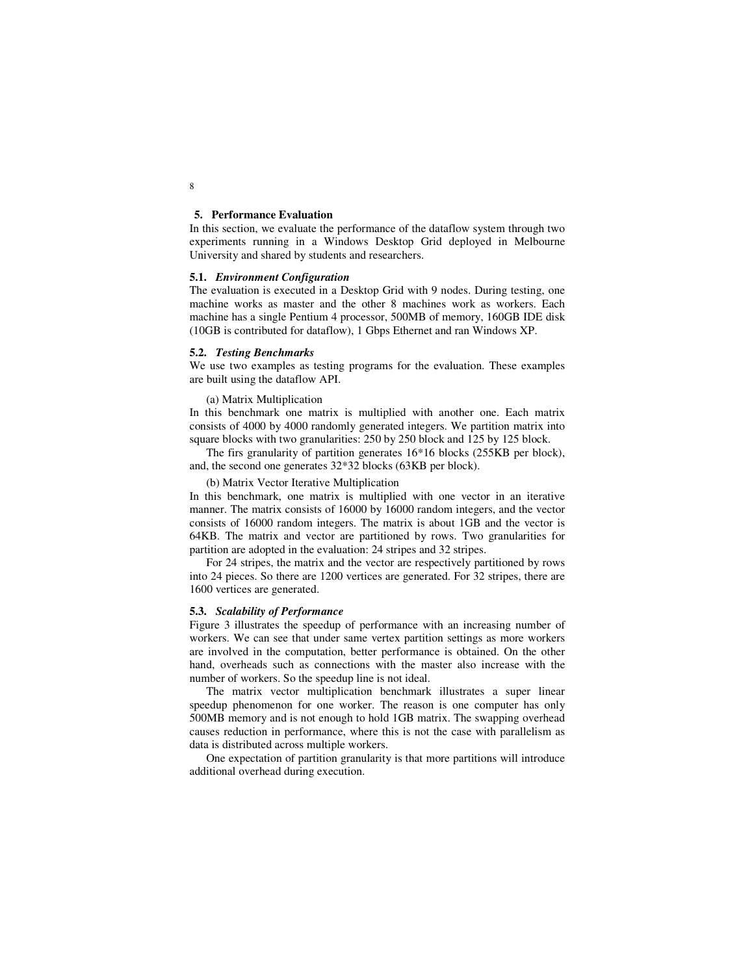#### **5. Performance Evaluation**

In this section, we evaluate the performance of the dataflow system through two experiments running in a Windows Desktop Grid deployed in Melbourne University and shared by students and researchers.

## **5.1.** *Environment Configuration*

The evaluation is executed in a Desktop Grid with 9 nodes. During testing, one machine works as master and the other 8 machines work as workers. Each machine has a single Pentium 4 processor, 500MB of memory, 160GB IDE disk (10GB is contributed for dataflow), 1 Gbps Ethernet and ran Windows XP.

#### **5.2.** *Testing Benchmarks*

We use two examples as testing programs for the evaluation. These examples are built using the dataflow API.

## (a) Matrix Multiplication

In this benchmark one matrix is multiplied with another one. Each matrix consists of 4000 by 4000 randomly generated integers. We partition matrix into square blocks with two granularities: 250 by 250 block and 125 by 125 block.

The firs granularity of partition generates 16\*16 blocks (255KB per block), and, the second one generates 32\*32 blocks (63KB per block).

(b) Matrix Vector Iterative Multiplication

In this benchmark, one matrix is multiplied with one vector in an iterative manner. The matrix consists of 16000 by 16000 random integers, and the vector consists of 16000 random integers. The matrix is about 1GB and the vector is 64KB. The matrix and vector are partitioned by rows. Two granularities for partition are adopted in the evaluation: 24 stripes and 32 stripes.

For 24 stripes, the matrix and the vector are respectively partitioned by rows into 24 pieces. So there are 1200 vertices are generated. For 32 stripes, there are 1600 vertices are generated.

## **5.3.** *Scalability of Performance*

Figure 3 illustrates the speedup of performance with an increasing number of workers. We can see that under same vertex partition settings as more workers are involved in the computation, better performance is obtained. On the other hand, overheads such as connections with the master also increase with the number of workers. So the speedup line is not ideal.

The matrix vector multiplication benchmark illustrates a super linear speedup phenomenon for one worker. The reason is one computer has only 500MB memory and is not enough to hold 1GB matrix. The swapping overhead causes reduction in performance, where this is not the case with parallelism as data is distributed across multiple workers.

One expectation of partition granularity is that more partitions will introduce additional overhead during execution.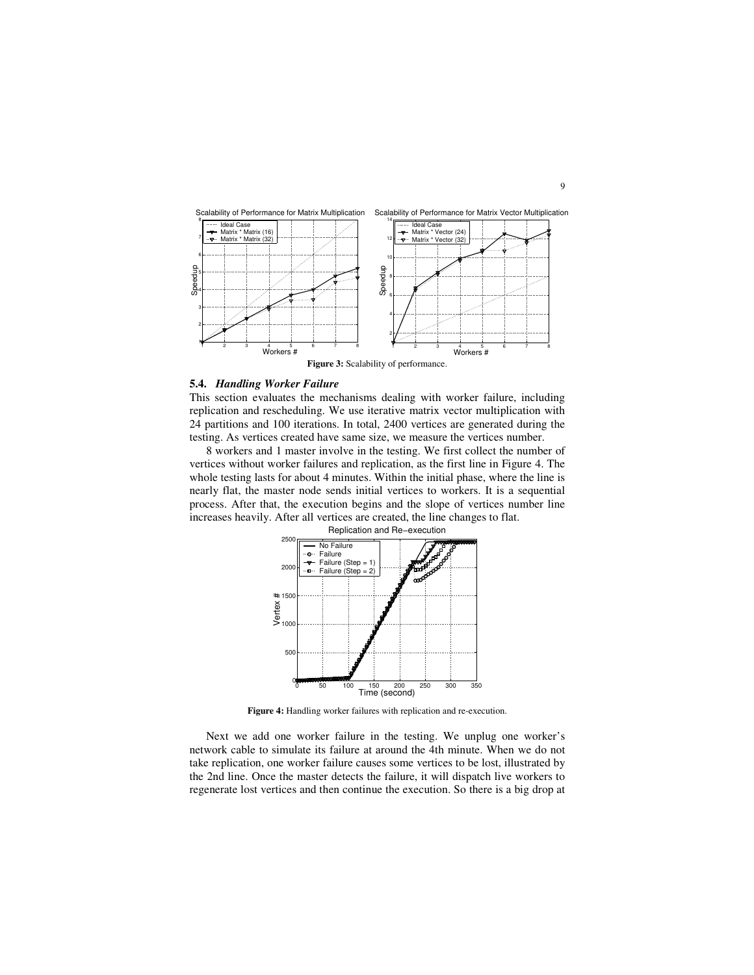

## **5.4.** *Handling Worker Failure*

This section evaluates the mechanisms dealing with worker failure, including replication and rescheduling. We use iterative matrix vector multiplication with 24 partitions and 100 iterations. In total, 2400 vertices are generated during the testing. As vertices created have same size, we measure the vertices number.

8 workers and 1 master involve in the testing. We first collect the number of vertices without worker failures and replication, as the first line in Figure 4. The whole testing lasts for about 4 minutes. Within the initial phase, where the line is nearly flat, the master node sends initial vertices to workers. It is a sequential process. After that, the execution begins and the slope of vertices number line increases heavily. After all vertices are created, the line changes to flat.



**Figure 4:** Handling worker failures with replication and re-execution.

Next we add one worker failure in the testing. We unplug one worker's network cable to simulate its failure at around the 4th minute. When we do not take replication, one worker failure causes some vertices to be lost, illustrated by the 2nd line. Once the master detects the failure, it will dispatch live workers to regenerate lost vertices and then continue the execution. So there is a big drop at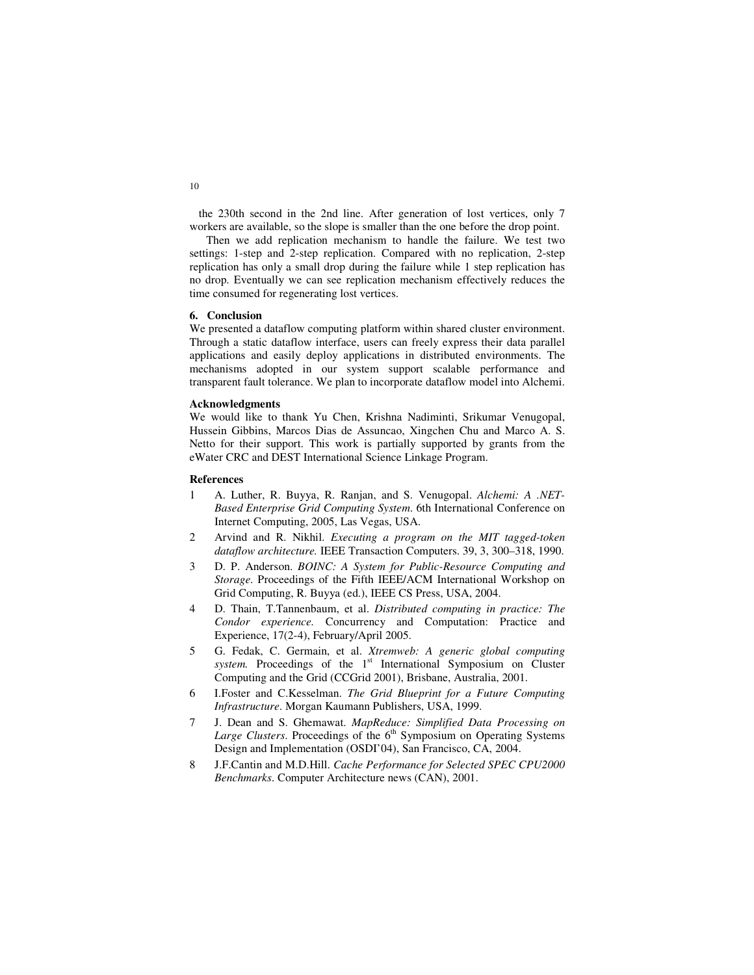the 230th second in the 2nd line. After generation of lost vertices, only 7 workers are available, so the slope is smaller than the one before the drop point.

Then we add replication mechanism to handle the failure. We test two settings: 1-step and 2-step replication. Compared with no replication, 2-step replication has only a small drop during the failure while 1 step replication has no drop. Eventually we can see replication mechanism effectively reduces the time consumed for regenerating lost vertices.

#### **6. Conclusion**

We presented a dataflow computing platform within shared cluster environment. Through a static dataflow interface, users can freely express their data parallel applications and easily deploy applications in distributed environments. The mechanisms adopted in our system support scalable performance and transparent fault tolerance. We plan to incorporate dataflow model into Alchemi.

# **Acknowledgments**

We would like to thank Yu Chen, Krishna Nadiminti, Srikumar Venugopal, Hussein Gibbins, Marcos Dias de Assuncao, Xingchen Chu and Marco A. S. Netto for their support. This work is partially supported by grants from the eWater CRC and DEST International Science Linkage Program.

# **References**

- 1 A. Luther, R. Buyya, R. Ranjan, and S. Venugopal. *Alchemi: A .NET-Based Enterprise Grid Computing System*. 6th International Conference on Internet Computing, 2005, Las Vegas, USA.
- 2 Arvind and R. Nikhil. *Executing a program on the MIT tagged-token dataflow architecture.* IEEE Transaction Computers. 39, 3, 300–318, 1990.
- 3 D. P. Anderson. *BOINC: A System for Public-Resource Computing and Storage*. Proceedings of the Fifth IEEE/ACM International Workshop on Grid Computing, R. Buyya (ed.), IEEE CS Press, USA, 2004.
- 4 D. Thain, T.Tannenbaum, et al. *Distributed computing in practice: The Condor experience.* Concurrency and Computation: Practice and Experience, 17(2-4), February/April 2005.
- 5 G. Fedak, C. Germain, et al. *Xtremweb: A generic global computing*  system. Proceedings of the 1<sup>st</sup> International Symposium on Cluster Computing and the Grid (CCGrid 2001), Brisbane, Australia, 2001.
- 6 I.Foster and C.Kesselman. *The Grid Blueprint for a Future Computing Infrastructure*. Morgan Kaumann Publishers, USA, 1999.
- 7 J. Dean and S. Ghemawat. *MapReduce: Simplified Data Processing on*  Large Clusters. Proceedings of the 6<sup>th</sup> Symposium on Operating Systems Design and Implementation (OSDI'04), San Francisco, CA, 2004.
- 8 J.F.Cantin and M.D.Hill. *Cache Performance for Selected SPEC CPU2000 Benchmarks*. Computer Architecture news (CAN), 2001.